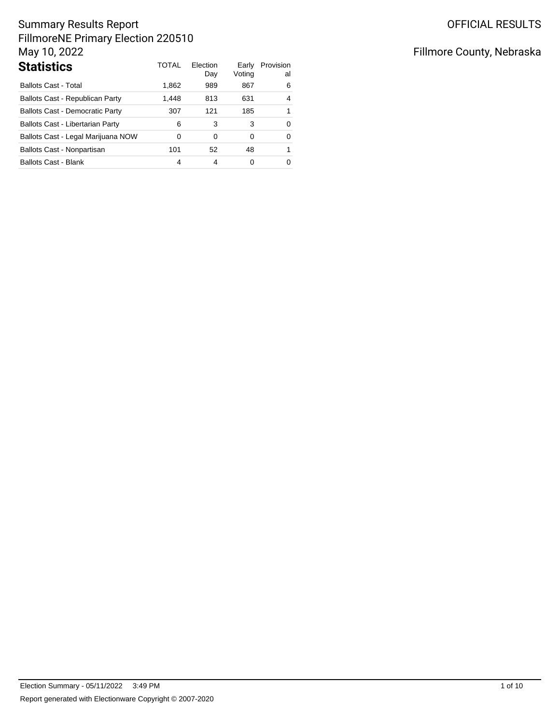| <b>Statistics</b>                      | TOTAL | Election<br>Day | Early<br>Voting | Provision<br>al |
|----------------------------------------|-------|-----------------|-----------------|-----------------|
| <b>Ballots Cast - Total</b>            | 1,862 | 989             | 867             | 6               |
| Ballots Cast - Republican Party        | 1,448 | 813             | 631             | 4               |
| <b>Ballots Cast - Democratic Party</b> | 307   | 121             | 185             | 1               |
| Ballots Cast - Libertarian Party       | 6     | 3               | 3               | 0               |
| Ballots Cast - Legal Marijuana NOW     | 0     | 0               | 0               | 0               |
| Ballots Cast - Nonpartisan             | 101   | 52              | 48              | 1               |
| <b>Ballots Cast - Blank</b>            | 4     | 4               | 0               | 0               |

# Fillmore County, Nebraska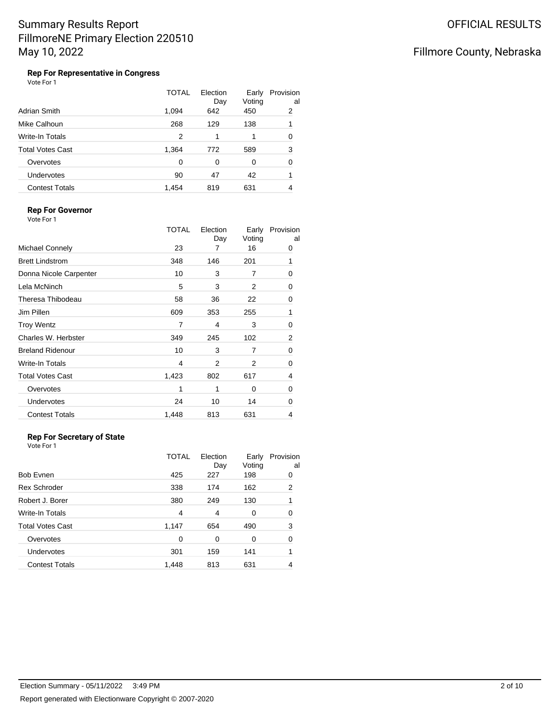### Fillmore County, Nebraska

**Rep For Representative in Congress** Vote For 1

|                         | <b>TOTAL</b> | Election<br>Day | Early<br>Voting | Provision<br>al |
|-------------------------|--------------|-----------------|-----------------|-----------------|
| Adrian Smith            | 1,094        | 642             | 450             | 2               |
| Mike Calhoun            | 268          | 129             | 138             | 1               |
| Write-In Totals         | 2            | 1               |                 | 0               |
| <b>Total Votes Cast</b> | 1,364        | 772             | 589             | 3               |
| Overvotes               | $\Omega$     | 0               | 0               | 0               |
| Undervotes              | 90           | 47              | 42              |                 |
| <b>Contest Totals</b>   | 1,454        | 819             | 631             | 4               |

### **Rep For Governor**

Vote For 1

|                         | TOTAL | Election<br>Day | Early<br>Voting | Provision<br>al |
|-------------------------|-------|-----------------|-----------------|-----------------|
| Michael Connely         | 23    | 7               | 16              | 0               |
| <b>Brett Lindstrom</b>  | 348   | 146             | 201             | 1               |
| Donna Nicole Carpenter  | 10    | 3               | 7               | 0               |
| Lela McNinch            | 5     | 3               | 2               | 0               |
| Theresa Thibodeau       | 58    | 36              | 22              | 0               |
| Jim Pillen              | 609   | 353             | 255             | 1               |
| <b>Troy Wentz</b>       | 7     | 4               | 3               | 0               |
| Charles W. Herbster     | 349   | 245             | 102             | 2               |
| <b>Breland Ridenour</b> | 10    | 3               | 7               | 0               |
| <b>Write-In Totals</b>  | 4     | 2               | 2               | 0               |
| <b>Total Votes Cast</b> | 1,423 | 802             | 617             | 4               |
| Overvotes               | 1     | 1               | 0               | 0               |
| <b>Undervotes</b>       | 24    | 10              | 14              | 0               |
| <b>Contest Totals</b>   | 1,448 | 813             | 631             | 4               |
|                         |       |                 |                 |                 |

#### **Rep For Secretary of State**

|                       | TOTAL | Election<br>Day | Early<br>Voting | Provision<br>al |
|-----------------------|-------|-----------------|-----------------|-----------------|
| Bob Evnen             | 425   | 227             | 198             | 0               |
| Rex Schroder          | 338   | 174             | 162             | 2               |
| Robert J. Borer       | 380   | 249             | 130             | 1               |
| Write-In Totals       | 4     | 4               | 0               | 0               |
| Total Votes Cast      | 1,147 | 654             | 490             | 3               |
| Overvotes             | 0     | 0               | 0               | 0               |
| Undervotes            | 301   | 159             | 141             | 1               |
| <b>Contest Totals</b> | 1,448 | 813             | 631             | 4               |
|                       |       |                 |                 |                 |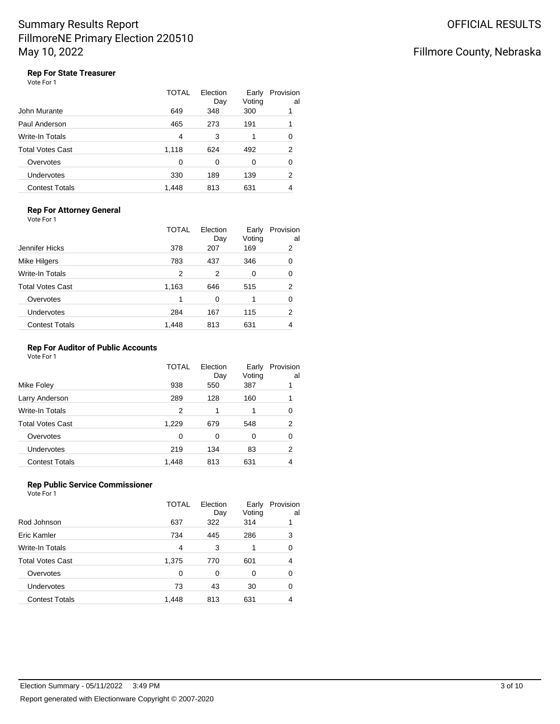### Fillmore County, Nebraska

### **Rep For State Treasurer**

Vote For 1

|                         | TOTAL | Election<br>Day | Early<br>Voting | Provision<br>al |
|-------------------------|-------|-----------------|-----------------|-----------------|
| John Murante            | 649   | 348             | 300             |                 |
| Paul Anderson           | 465   | 273             | 191             |                 |
| Write-In Totals         | 4     | 3               |                 | 0               |
| <b>Total Votes Cast</b> | 1,118 | 624             | 492             | $\overline{2}$  |
| Overvotes               | 0     | 0               | 0               | 0               |
| Undervotes              | 330   | 189             | 139             | 2               |
| <b>Contest Totals</b>   | 1.448 | 813             | 631             | 4               |

#### **Rep For Attorney General** Vote For 1

|                       | <b>TOTAL</b> | Election<br>Day | Early<br>Voting | Provision<br>al |
|-----------------------|--------------|-----------------|-----------------|-----------------|
| Jennifer Hicks        | 378          | 207             | 169             | 2               |
| Mike Hilgers          | 783          | 437             | 346             | 0               |
| Write-In Totals       | 2            | 2               | 0               | 0               |
| Total Votes Cast      | 1,163        | 646             | 515             | 2               |
| Overvotes             | 1            | 0               |                 | 0               |
| <b>Undervotes</b>     | 284          | 167             | 115             | 2               |
| <b>Contest Totals</b> | 1,448        | 813             | 631             | 4               |
|                       |              |                 |                 |                 |

#### **Rep For Auditor of Public Accounts**

Vote For 1

|                         | TOTAL | Election<br>Day | Early<br>Voting | Provision<br>al |
|-------------------------|-------|-----------------|-----------------|-----------------|
| Mike Foley              | 938   | 550             | 387             |                 |
| Larry Anderson          | 289   | 128             | 160             |                 |
| Write-In Totals         | 2     |                 |                 | 0               |
| <b>Total Votes Cast</b> | 1,229 | 679             | 548             | 2               |
| Overvotes               | 0     | 0               | 0               | 0               |
| <b>Undervotes</b>       | 219   | 134             | 83              | 2               |
| <b>Contest Totals</b>   | 1,448 | 813             | 631             | 4               |

#### **Rep Public Service Commissioner** Vote For 1

|                         | <b>TOTAL</b> | Election<br>Day | Early<br>Voting | Provision<br>al |
|-------------------------|--------------|-----------------|-----------------|-----------------|
| Rod Johnson             | 637          | 322             | 314             |                 |
| Eric Kamler             | 734          | 445             | 286             | 3               |
| Write-In Totals         | 4            | 3               |                 | 0               |
| <b>Total Votes Cast</b> | 1,375        | 770             | 601             | 4               |
| Overvotes               | 0            | 0               | 0               | 0               |
| <b>Undervotes</b>       | 73           | 43              | 30              | 0               |
| <b>Contest Totals</b>   | 1,448        | 813             | 631             | 4               |
|                         |              |                 |                 |                 |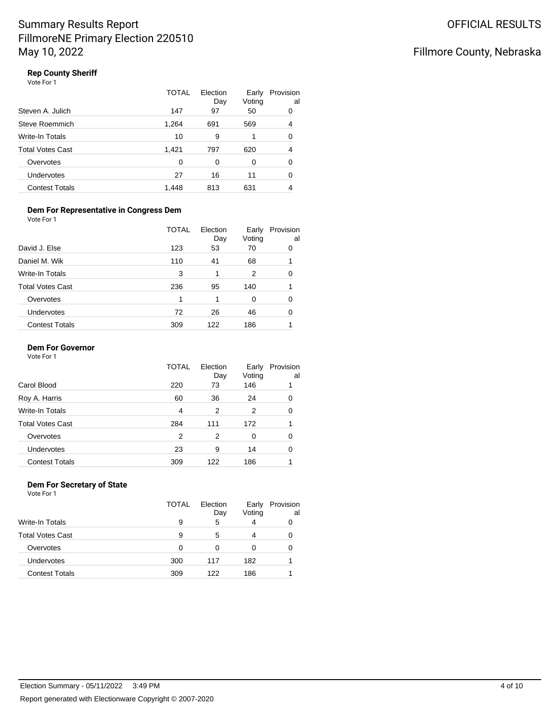### Fillmore County, Nebraska

### **Rep County Sheriff**

| Vote For 1 |  |
|------------|--|
|------------|--|

|                       | TOTAL | Election<br>Day | Early<br>Voting | Provision<br>al |
|-----------------------|-------|-----------------|-----------------|-----------------|
| Steven A. Julich      | 147   | 97              | 50              | 0               |
| Steve Roemmich        | 1,264 | 691             | 569             | 4               |
| Write-In Totals       | 10    | 9               |                 | 0               |
| Total Votes Cast      | 1,421 | 797             | 620             | 4               |
| Overvotes             | 0     | 0               | 0               | 0               |
| Undervotes            | 27    | 16              | 11              | 0               |
| <b>Contest Totals</b> | 1.448 | 813             | 631             | 4               |

#### **Dem For Representative in Congress Dem** Vote For 1

|                         | <b>TOTAL</b> | Election<br>Day | Early<br>Voting | Provision<br>al |
|-------------------------|--------------|-----------------|-----------------|-----------------|
| David J. Else           | 123          | 53              | 70              | 0               |
| Daniel M. Wik           | 110          | 41              | 68              |                 |
| <b>Write-In Totals</b>  | 3            | 1               | 2               | ∩               |
| <b>Total Votes Cast</b> | 236          | 95              | 140             |                 |
| Overvotes               |              | 1               | 0               |                 |
| <b>Undervotes</b>       | 72           | 26              | 46              |                 |
| <b>Contest Totals</b>   | 309          | 122             | 186             |                 |

#### **Dem For Governor**

Vote For 1

|                         | <b>TOTAL</b> | Election<br>Day | Early<br>Voting | Provision<br>al |
|-------------------------|--------------|-----------------|-----------------|-----------------|
| Carol Blood             | 220          | 73              | 146             |                 |
| Roy A. Harris           | 60           | 36              | 24              | 0               |
| <b>Write-In Totals</b>  | 4            | 2               | 2               | 0               |
| <b>Total Votes Cast</b> | 284          | 111             | 172             |                 |
| Overvotes               | 2            | 2               | 0               | 0               |
| Undervotes              | 23           | 9               | 14              | 0               |
| <b>Contest Totals</b>   | 309          | 122             | 186             |                 |

#### **Dem For Secretary of State** Vote For 1

|                         | TOTAL | Election<br>Day | Early<br>Voting | Provision<br>al |
|-------------------------|-------|-----------------|-----------------|-----------------|
| <b>Write-In Totals</b>  | 9     | 5               | 4               |                 |
| <b>Total Votes Cast</b> | 9     | 5               | 4               |                 |
| Overvotes               | 0     | 0               | 0               |                 |
| Undervotes              | 300   | 117             | 182             |                 |
| <b>Contest Totals</b>   | 309   | 122             | 186             |                 |
|                         |       |                 |                 |                 |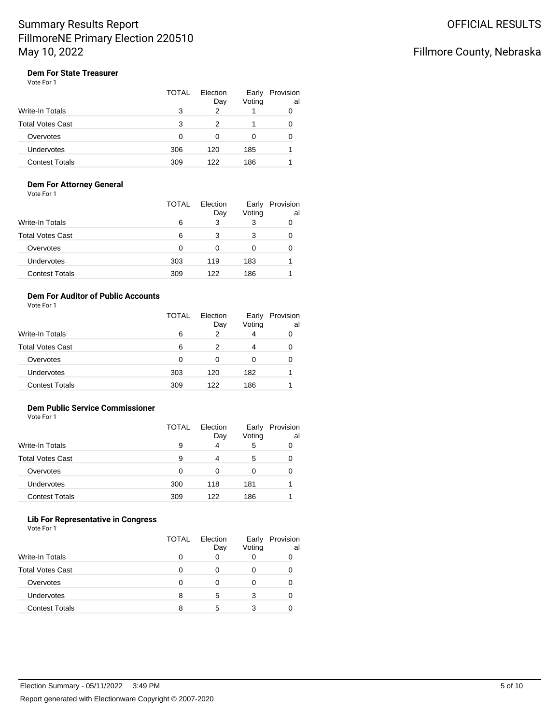### Fillmore County, Nebraska

### **Dem For State Treasurer**

| Vote For 1 |  |  |
|------------|--|--|
|------------|--|--|

|                         | <b>TOTAL</b> | Election<br>Day | Early<br>Voting | Provision<br>al |
|-------------------------|--------------|-----------------|-----------------|-----------------|
| Write-In Totals         | 3            | 2               |                 |                 |
| <b>Total Votes Cast</b> | 3            | っ               |                 |                 |
| Overvotes               | 0            | 0               | O               | 0               |
| Undervotes              | 306          | 120             | 185             |                 |
| <b>Contest Totals</b>   | 309          | 122             | 186             |                 |

#### **Dem For Attorney General**

Vote For 1

|                         | TOTAL | Election<br>Day | Early<br>Voting | Provision<br>al |
|-------------------------|-------|-----------------|-----------------|-----------------|
| <b>Write-In Totals</b>  | 6     | 3               |                 |                 |
| <b>Total Votes Cast</b> | 6     | 3               | 3               |                 |
| Overvotes               | 0     |                 |                 |                 |
| Undervotes              | 303   | 119             | 183             |                 |
| <b>Contest Totals</b>   | 309   | 122             | 186             |                 |

### **Dem For Auditor of Public Accounts**

Vote For 1

|                       | TOTAL | Election<br>Day | Early<br>Voting | Provision<br>al |
|-----------------------|-------|-----------------|-----------------|-----------------|
| Write-In Totals       | 6     | 2               | 4               | 0               |
| Total Votes Cast      | 6     | 2               | 4               | 0               |
| Overvotes             | 0     | 0               | 0               | 0               |
| Undervotes            | 303   | 120             | 182             |                 |
| <b>Contest Totals</b> | 309   | 122             | 186             |                 |

### **Dem Public Service Commissioner**

Vote For 1

|                         | TOTAL | Election<br>Day | Early<br>Voting | Provision<br>al |
|-------------------------|-------|-----------------|-----------------|-----------------|
| <b>Write-In Totals</b>  | 9     | 4               | 5               |                 |
| <b>Total Votes Cast</b> | 9     | 4               | 5               |                 |
| Overvotes               | 0     | 0               | 0               |                 |
| Undervotes              | 300   | 118             | 181             |                 |
| <b>Contest Totals</b>   | 309   | 122             | 186             |                 |

#### **Lib For Representative in Congress**

|                         | <b>TOTAL</b> | Election<br>Day | Early<br>Voting | Provision<br>al |
|-------------------------|--------------|-----------------|-----------------|-----------------|
| Write-In Totals         |              |                 |                 |                 |
| <b>Total Votes Cast</b> |              |                 |                 |                 |
| Overvotes               |              |                 |                 |                 |
| Undervotes              | 8            | 5               |                 |                 |
| <b>Contest Totals</b>   |              | 5               |                 |                 |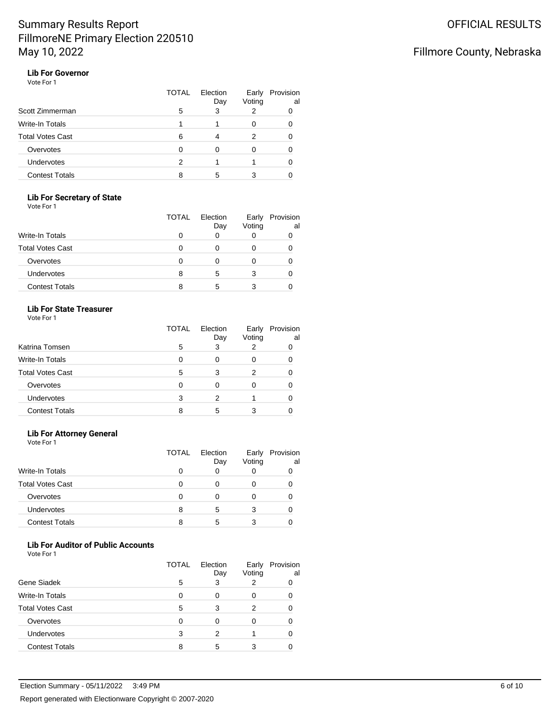### Fillmore County, Nebraska

#### **Lib For Governor** Vote For 1

|                         | <b>TOTAL</b> | Election<br>Day | Early<br>Voting | Provision<br>al |
|-------------------------|--------------|-----------------|-----------------|-----------------|
| Scott Zimmerman         | 5            | 3               | 2               |                 |
| Write-In Totals         |              |                 | 0               |                 |
| <b>Total Votes Cast</b> | 6            |                 | 2               |                 |
| Overvotes               |              |                 |                 |                 |
| Undervotes              | 2            |                 |                 |                 |
| <b>Contest Totals</b>   |              | 5               |                 |                 |

### **Lib For Secretary of State**

Vote For 1

|                         | TOTAL | Election<br>Day | Early<br>Voting | Provision<br>al |
|-------------------------|-------|-----------------|-----------------|-----------------|
| <b>Write-In Totals</b>  |       | 0               | 0               |                 |
| <b>Total Votes Cast</b> |       |                 | Ω               |                 |
| Overvotes               |       |                 | Ω               |                 |
| <b>Undervotes</b>       | 8     | 5               | 3               |                 |
| <b>Contest Totals</b>   | 8     | 5               |                 |                 |

#### **Lib For State Treasurer**

Vote For 1

|                         | TOTAL | Election<br>Day | Early<br>Voting | Provision<br>al |
|-------------------------|-------|-----------------|-----------------|-----------------|
| Katrina Tomsen          | 5     | 3               | 2               |                 |
| Write-In Totals         | O     |                 | O               |                 |
| <b>Total Votes Cast</b> | 5     | 3               | 2               |                 |
| Overvotes               |       |                 | O               |                 |
| <b>Undervotes</b>       | 3     |                 |                 |                 |
| <b>Contest Totals</b>   |       | 5               | 3               |                 |

### **Lib For Attorney General**

Vote For 1

|                         | TOTAL | Election<br>Day | Early<br>Voting | Provision<br>al |
|-------------------------|-------|-----------------|-----------------|-----------------|
| <b>Write-In Totals</b>  | O     |                 |                 |                 |
| <b>Total Votes Cast</b> | O     | Ω               |                 |                 |
| Overvotes               | O     |                 |                 |                 |
| Undervotes              | 8     | 5               | 3               |                 |
| <b>Contest Totals</b>   | 8     | 5               | 3               |                 |

### **Lib For Auditor of Public Accounts**

| Vote For 1 |  |  |
|------------|--|--|
|------------|--|--|

|                         | TOTAL | Election<br>Day | Early<br>Voting | Provision<br>al |
|-------------------------|-------|-----------------|-----------------|-----------------|
| Gene Siadek             | 5     | 3               | 2               |                 |
| Write-In Totals         | ∩     | O               | 0               |                 |
| <b>Total Votes Cast</b> | 5     | 3               | 2               |                 |
| Overvotes               | O     | ∩               | 0               |                 |
| <b>Undervotes</b>       | 3     | 2               |                 |                 |
| <b>Contest Totals</b>   |       | 5               | 3               |                 |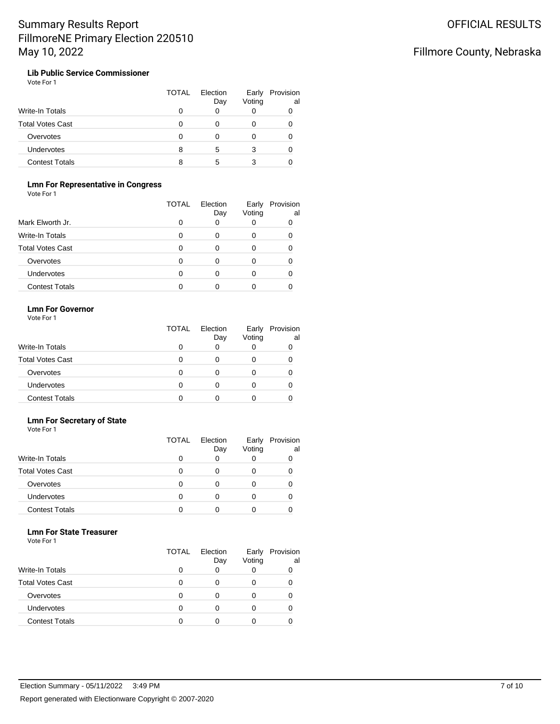### Fillmore County, Nebraska

**Lib Public Service Commissioner** Vote For 1

|                         | TOTAL | Election<br>Day | Early<br>Voting | Provision<br>al |
|-------------------------|-------|-----------------|-----------------|-----------------|
| <b>Write-In Totals</b>  |       |                 |                 |                 |
| <b>Total Votes Cast</b> |       |                 |                 |                 |
| Overvotes               |       |                 |                 |                 |
| Undervotes              |       | 5               | 3               |                 |
| <b>Contest Totals</b>   |       | 5               |                 |                 |

### **Lmn For Representative in Congress**

Vote For 1

|                         | TOTAL | Election<br>Day | Early<br>Voting | Provision<br>al |
|-------------------------|-------|-----------------|-----------------|-----------------|
| Mark Elworth Jr.        |       |                 |                 |                 |
| Write-In Totals         | ი     |                 | 0               |                 |
| <b>Total Votes Cast</b> |       |                 | Ω               |                 |
| Overvotes               |       |                 | 0               |                 |
| <b>Undervotes</b>       |       |                 | 0               |                 |
| <b>Contest Totals</b>   |       |                 |                 |                 |

#### **Lmn For Governor**

Vote For 1

|                         | TOTAL | Election<br>Day | Early<br>Voting | Provision<br>al |
|-------------------------|-------|-----------------|-----------------|-----------------|
| Write-In Totals         |       |                 | 0               |                 |
| <b>Total Votes Cast</b> |       |                 | O               |                 |
| Overvotes               |       |                 | O               |                 |
| Undervotes              |       |                 | O               |                 |
| <b>Contest Totals</b>   |       |                 | U               |                 |

#### **Lmn For Secretary of State** Vote For 1

|                         | <b>TOTAL</b> | Election<br>Day | Early<br>Voting | Provision<br>al |
|-------------------------|--------------|-----------------|-----------------|-----------------|
| <b>Write-In Totals</b>  |              |                 | 0               |                 |
| <b>Total Votes Cast</b> |              |                 | 0               |                 |
| Overvotes               |              |                 | O               |                 |
| Undervotes              |              |                 | O               |                 |
| <b>Contest Totals</b>   |              |                 |                 |                 |

#### **Lmn For State Treasurer**

|                         | <b>TOTAL</b> | Election<br>Day | Early<br>Voting | Provision<br>al |
|-------------------------|--------------|-----------------|-----------------|-----------------|
| Write-In Totals         |              |                 |                 |                 |
| <b>Total Votes Cast</b> |              |                 |                 |                 |
| Overvotes               |              |                 |                 |                 |
| Undervotes              |              | n               |                 |                 |
| <b>Contest Totals</b>   |              |                 |                 |                 |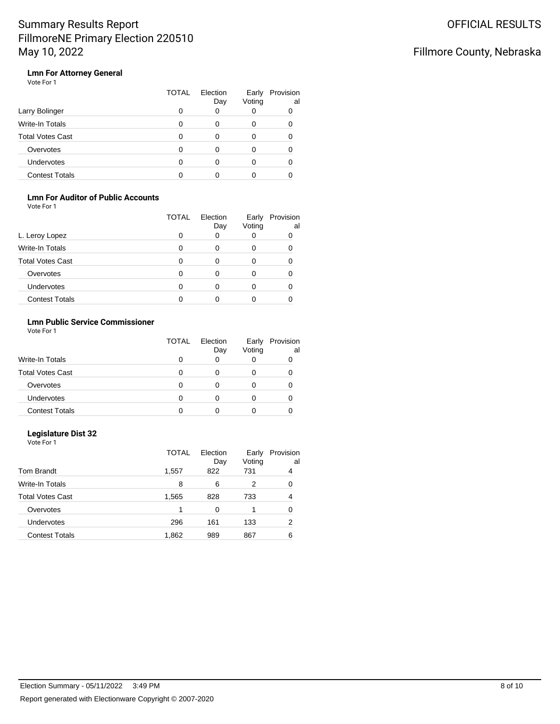### Fillmore County, Nebraska

### **Lmn For Attorney General**

|                       | <b>TOTAL</b> | Election<br>Day | Early<br>Voting | Provision<br>al |
|-----------------------|--------------|-----------------|-----------------|-----------------|
| Larry Bolinger        |              |                 |                 |                 |
| Write-In Totals       |              |                 | 0               |                 |
| Total Votes Cast      | O            |                 |                 |                 |
| Overvotes             |              |                 |                 |                 |
| <b>Undervotes</b>     |              |                 |                 |                 |
| <b>Contest Totals</b> |              |                 |                 |                 |

### **Lmn For Auditor of Public Accounts**

Vote For 1

|                         | TOTAL        | Election<br>Day | Early<br>Voting | Provision<br>al |
|-------------------------|--------------|-----------------|-----------------|-----------------|
| L. Leroy Lopez          | 0            | 0               |                 |                 |
| Write-In Totals         | <sup>0</sup> | ∩               |                 |                 |
| <b>Total Votes Cast</b> |              | Ω               |                 |                 |
| Overvotes               | 0            | Ω               |                 |                 |
| Undervotes              |              |                 |                 |                 |
| <b>Contest Totals</b>   |              |                 |                 |                 |

### **Lmn Public Service Commissioner**

Vote For 1

|                         | <b>TOTAL</b> | Election<br>Day | Early<br>Voting | Provision<br>al |
|-------------------------|--------------|-----------------|-----------------|-----------------|
| <b>Write-In Totals</b>  |              |                 |                 |                 |
| <b>Total Votes Cast</b> |              |                 |                 |                 |
| Overvotes               |              |                 |                 |                 |
| <b>Undervotes</b>       |              |                 |                 |                 |
| <b>Contest Totals</b>   |              |                 |                 |                 |

### **Legislature Dist 32**

|                       | <b>TOTAL</b> | Election<br>Day | Early<br>Voting | Provision<br>al |
|-----------------------|--------------|-----------------|-----------------|-----------------|
| Tom Brandt            | 1,557        | 822             | 731             | 4               |
| Write-In Totals       | 8            | 6               | 2               | 0               |
| Total Votes Cast      | 1,565        | 828             | 733             | 4               |
| Overvotes             | 1            | 0               |                 | 0               |
| Undervotes            | 296          | 161             | 133             | 2               |
| <b>Contest Totals</b> | 1,862        | 989             | 867             | 6               |
|                       |              |                 |                 |                 |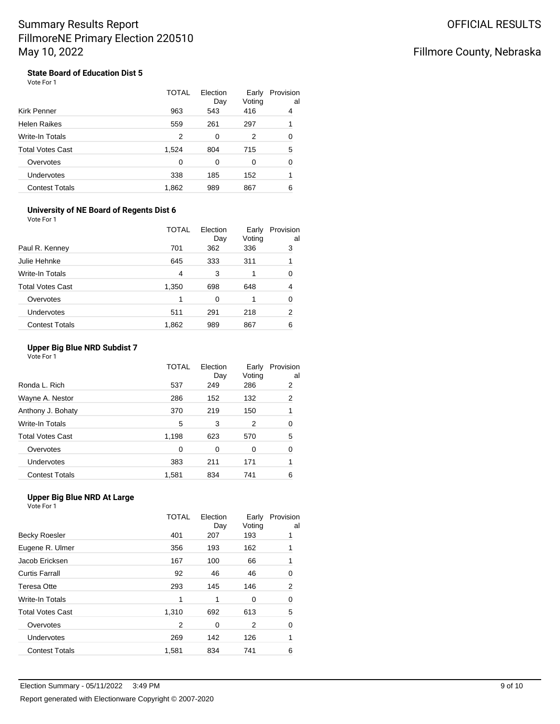### Fillmore County, Nebraska

**State Board of Education Dist 5** Vote For 1

|                         | TOTAL | Election<br>Day | Early<br>Voting | Provision<br>al |
|-------------------------|-------|-----------------|-----------------|-----------------|
| <b>Kirk Penner</b>      | 963   | 543             | 416             | 4               |
| <b>Helen Raikes</b>     | 559   | 261             | 297             | 1               |
| <b>Write-In Totals</b>  | 2     | 0               | 2               | 0               |
| <b>Total Votes Cast</b> | 1,524 | 804             | 715             | 5               |
| Overvotes               | 0     | 0               | 0               | 0               |
| Undervotes              | 338   | 185             | 152             |                 |
| <b>Contest Totals</b>   | 1.862 | 989             | 867             | 6               |

#### **University of NE Board of Regents Dist 6**

| Vote For 1              |              |                 |                 |                 |
|-------------------------|--------------|-----------------|-----------------|-----------------|
|                         | <b>TOTAL</b> | Election<br>Day | Early<br>Voting | Provision<br>al |
| Paul R. Kenney          | 701          | 362             | 336             | 3               |
| Julie Hehnke            | 645          | 333             | 311             | 1               |
| Write-In Totals         | 4            | 3               |                 | 0               |
| <b>Total Votes Cast</b> | 1,350        | 698             | 648             | 4               |
| Overvotes               | 1            | 0               |                 | 0               |
| Undervotes              | 511          | 291             | 218             | 2               |
| <b>Contest Totals</b>   | 1,862        | 989             | 867             | 6               |

### **Upper Big Blue NRD Subdist 7**

Vote For 1

|                         | TOTAL | Election<br>Day | Early<br>Voting | Provision<br>al |
|-------------------------|-------|-----------------|-----------------|-----------------|
| Ronda L. Rich           | 537   | 249             | 286             | 2               |
| Wayne A. Nestor         | 286   | 152             | 132             | 2               |
| Anthony J. Bohaty       | 370   | 219             | 150             |                 |
| Write-In Totals         | 5     | 3               | 2               | 0               |
| <b>Total Votes Cast</b> | 1,198 | 623             | 570             | 5               |
| Overvotes               | 0     | 0               | 0               | 0               |
| <b>Undervotes</b>       | 383   | 211             | 171             |                 |
| <b>Contest Totals</b>   | 1,581 | 834             | 741             | 6               |
|                         |       |                 |                 |                 |

#### **Upper Big Blue NRD At Large**

|                         | <b>TOTAL</b> | Election<br>Day | Early<br>Voting | Provision<br>al |
|-------------------------|--------------|-----------------|-----------------|-----------------|
| Becky Roesler           | 401          | 207             | 193             |                 |
| Eugene R. Ulmer         | 356          | 193             | 162             |                 |
| Jacob Ericksen          | 167          | 100             | 66              |                 |
| Curtis Farrall          | 92           | 46              | 46              | 0               |
| Teresa Otte             | 293          | 145             | 146             | 2               |
| Write-In Totals         | 1            | 1               | 0               | 0               |
| <b>Total Votes Cast</b> | 1,310        | 692             | 613             | 5               |
| Overvotes               | 2            | 0               | 2               | 0               |
| <b>Undervotes</b>       | 269          | 142             | 126             |                 |
| <b>Contest Totals</b>   | 1,581        | 834             | 741             | 6               |
|                         |              |                 |                 |                 |